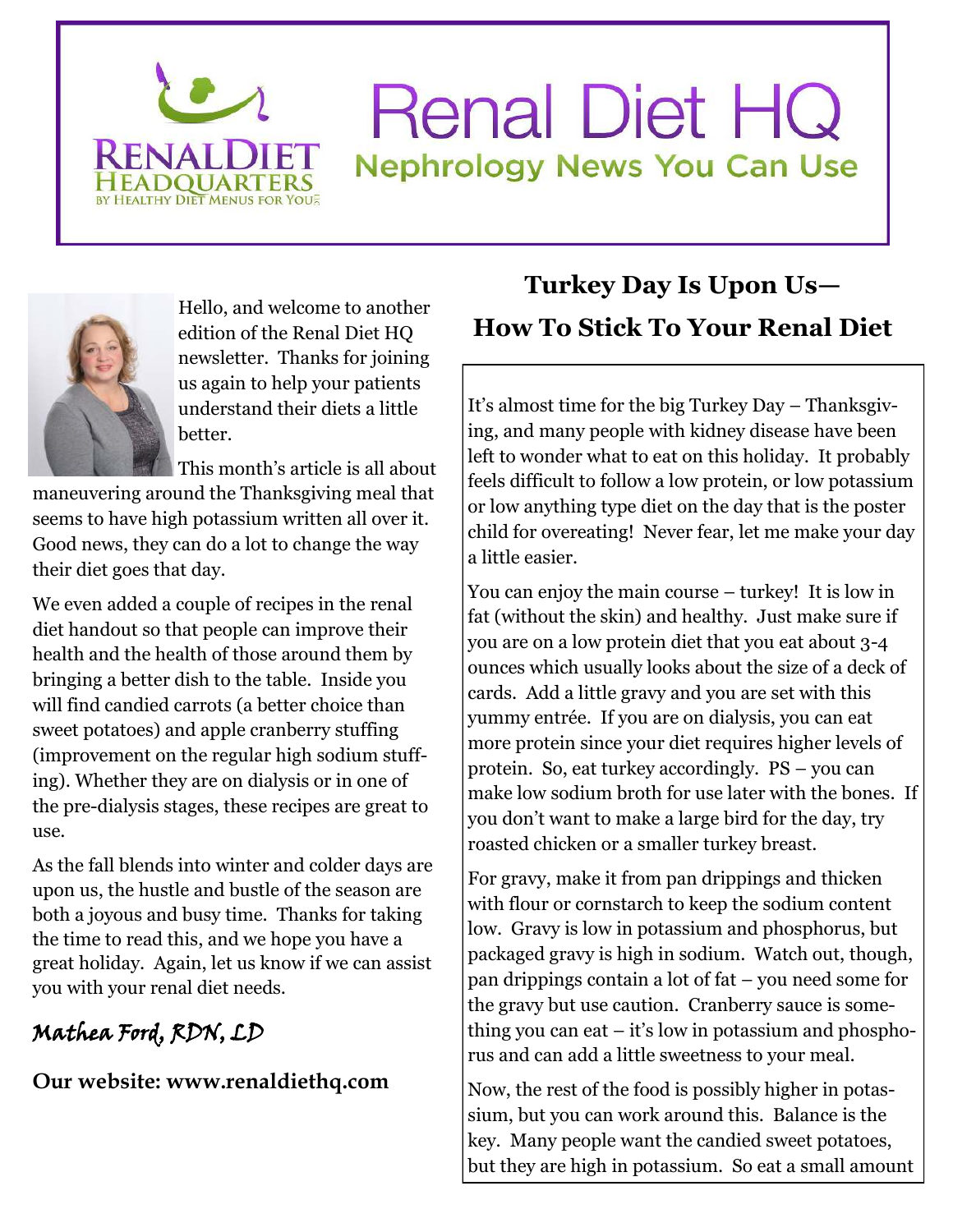

## **Renal Diet HC Nephrology News You Can Use**



Hello, and welcome to another edition of the Renal Diet HQ newsletter. Thanks for joining us again to help your patients understand their diets a little better.

This month's article is all about

maneuvering around the Thanksgiving meal that seems to have high potassium written all over it. Good news, they can do a lot to change the way their diet goes that day.

We even added a couple of recipes in the renal diet handout so that people can improve their health and the health of those around them by bringing a better dish to the table. Inside you will find candied carrots (a better choice than sweet potatoes) and apple cranberry stuffing (improvement on the regular high sodium stuffing). Whether they are on dialysis or in one of the pre-dialysis stages, these recipes are great to use.

As the fall blends into winter and colder days are upon us, the hustle and bustle of the season are both a joyous and busy time. Thanks for taking the time to read this, and we hope you have a great holiday. Again, let us know if we can assist you with your renal diet needs.

## Mathea Ford, RDN, LD

**Our website: www.renaldiethq.com** 

## **Turkey Day Is Upon Us— How To Stick To Your Renal Diet**

It's almost time for the big Turkey Day – Thanksgiving, and many people with kidney disease have been left to wonder what to eat on this holiday. It probably feels difficult to follow a low protein, or low potassium or low anything type diet on the day that is the poster child for overeating! Never fear, let me make your day a little easier.

You can enjoy the main course – turkey! It is low in fat (without the skin) and healthy. Just make sure if you are on a low protein diet that you eat about 3-4 ounces which usually looks about the size of a deck of cards. Add a little gravy and you are set with this yummy entrée. If you are on dialysis, you can eat more protein since your diet requires higher levels of protein. So, eat turkey accordingly. PS – you can make low sodium broth for use later with the bones. If you don't want to make a large bird for the day, try roasted chicken or a smaller turkey breast.

For gravy, make it from pan drippings and thicken with flour or cornstarch to keep the sodium content low. Gravy is low in potassium and phosphorus, but packaged gravy is high in sodium. Watch out, though, pan drippings contain a lot of fat – you need some for the gravy but use caution. Cranberry sauce is something you can eat – it's low in potassium and phosphorus and can add a little sweetness to your meal.

Now, the rest of the food is possibly higher in potassium, but you can work around this. Balance is the key. Many people want the candied sweet potatoes, but they are high in potassium. So eat a small amount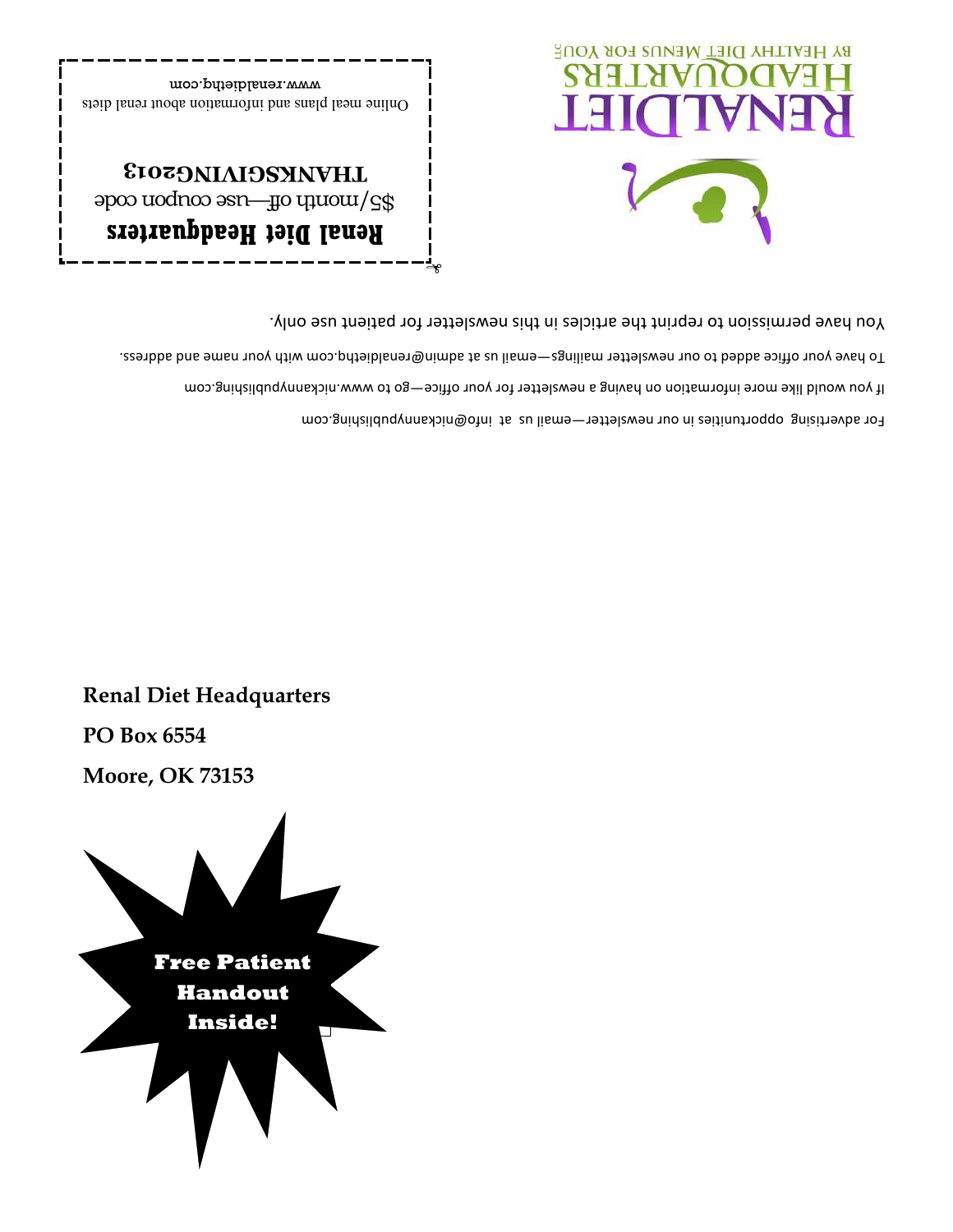

**PO Box 6554** 

**Renal Diet Headquarters** 

For advertising opportunities in our newsletter-email us an info@orickannypublishing.com If you would like more information on having a newsletter for your office-go to www.nickannypublishing.com Fo have your office added to our newslether mailings-email us at adminbarenaldiethq.com with your name and adress. You have permission to reprint the articles in this newsletter for patient use only.



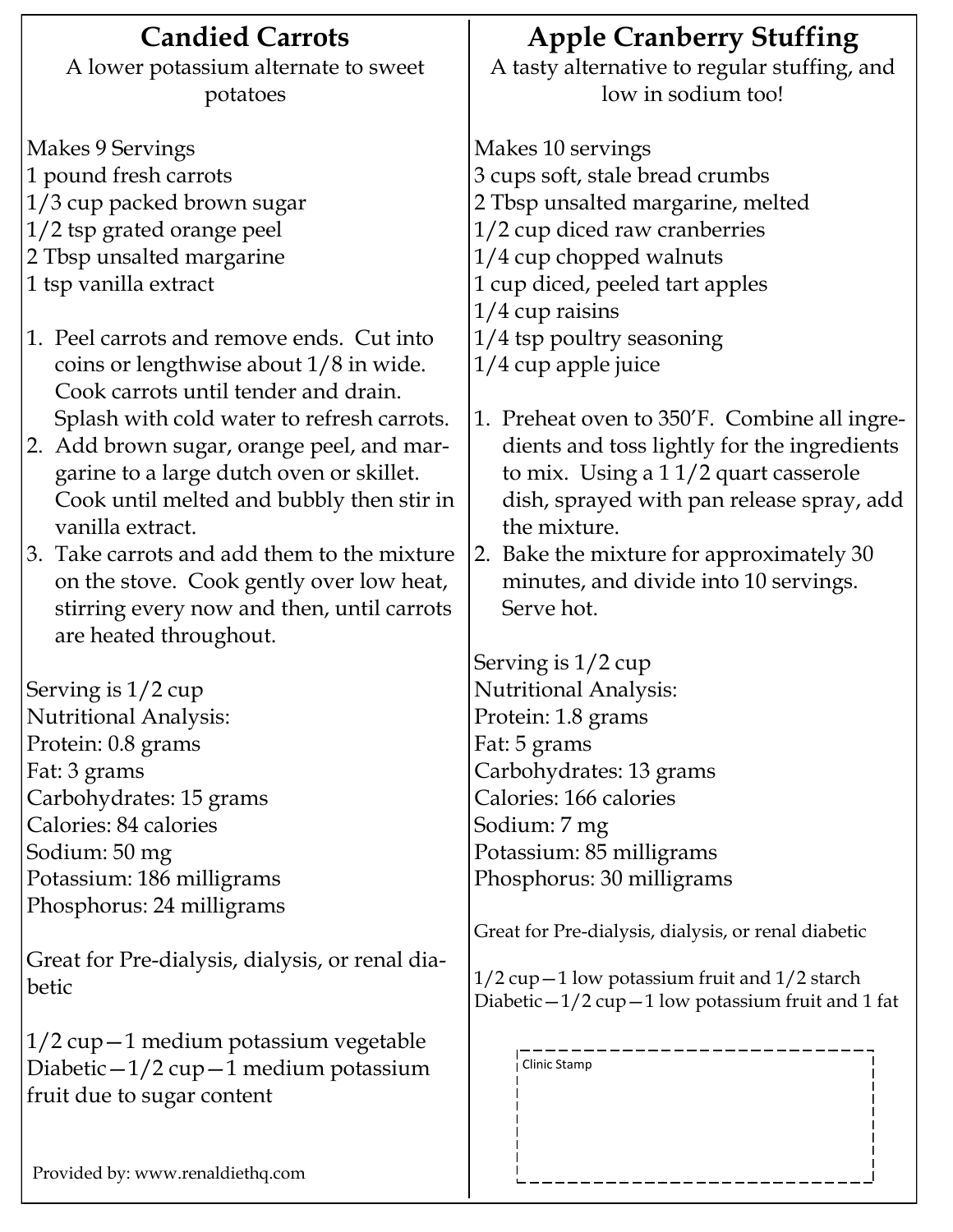| <b>Candied Carrots</b>                          | <b>Apple Cranberry Stuffing</b>                        |
|-------------------------------------------------|--------------------------------------------------------|
| A lower potassium alternate to sweet            | A tasty alternative to regular stuffing, and           |
| potatoes                                        | low in sodium too!                                     |
| Makes 9 Servings                                | Makes 10 servings                                      |
| 1 pound fresh carrots                           | 3 cups soft, stale bread crumbs                        |
| 1/3 cup packed brown sugar                      | 2 Tbsp unsalted margarine, melted                      |
| 1/2 tsp grated orange peel                      | 1/2 cup diced raw cranberries                          |
| 2 Tbsp unsalted margarine                       | 1/4 cup chopped walnuts                                |
| 1 tsp vanilla extract                           | 1 cup diced, peeled tart apples                        |
|                                                 | $1/4$ cup raisins                                      |
| 1. Peel carrots and remove ends. Cut into       | $1/4$ tsp poultry seasoning                            |
| coins or lengthwise about 1/8 in wide.          | $1/4$ cup apple juice                                  |
| Cook carrots until tender and drain.            |                                                        |
| Splash with cold water to refresh carrots.      | 1. Preheat oven to 350'F. Combine all ingre-           |
| 2. Add brown sugar, orange peel, and mar-       | dients and toss lightly for the ingredients            |
| garine to a large dutch oven or skillet.        | to mix. Using a 11/2 quart casserole                   |
| Cook until melted and bubbly then stir in       | dish, sprayed with pan release spray, add              |
| vanilla extract.                                | the mixture.                                           |
| 3. Take carrots and add them to the mixture     | 2. Bake the mixture for approximately 30               |
| on the stove. Cook gently over low heat,        | minutes, and divide into 10 servings.                  |
| stirring every now and then, until carrots      | Serve hot.                                             |
| are heated throughout.                          |                                                        |
|                                                 | Serving is $1/2$ cup                                   |
| Serving is $1/2$ cup                            | <b>Nutritional Analysis:</b>                           |
| <b>Nutritional Analysis:</b>                    | Protein: 1.8 grams                                     |
| Protein: 0.8 grams                              | Fat: 5 grams                                           |
| Fat: 3 grams                                    | Carbohydrates: 13 grams                                |
| Carbohydrates: 15 grams                         | Calories: 166 calories                                 |
| Calories: 84 calories                           | Sodium: 7 mg                                           |
| Sodium: 50 mg                                   | Potassium: 85 milligrams                               |
| Potassium: 186 milligrams                       | Phosphorus: 30 milligrams                              |
| Phosphorus: 24 milligrams                       |                                                        |
|                                                 | Great for Pre-dialysis, dialysis, or renal diabetic    |
| Great for Pre-dialysis, dialysis, or renal dia- | $1/2$ cup $-1$ low potassium fruit and $1/2$ starch    |
| betic                                           | Diabetic $-1/2$ cup $-1$ low potassium fruit and 1 fat |
|                                                 |                                                        |
| $1/2$ cup $-1$ medium potassium vegetable       |                                                        |
| Diabetic $-1/2$ cup $-1$ medium potassium       | Clinic Stamp                                           |
| fruit due to sugar content                      |                                                        |
|                                                 |                                                        |
|                                                 |                                                        |
| Provided by: www.renaldiethq.com                |                                                        |